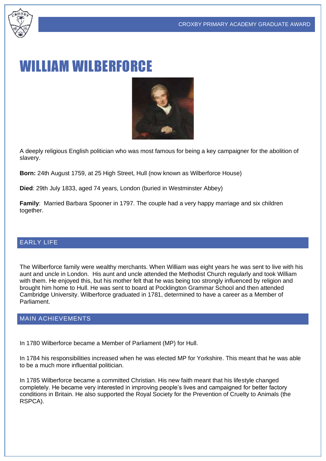

# WILLIAM WILBERFORCE



A deeply religious English politician who was most famous for being a key campaigner for the abolition of slavery.

**Born:** 24th August 1759, at 25 High Street, Hull (now known as Wilberforce House)

**Died**: 29th July 1833, aged 74 years, London (buried in Westminster Abbey)

**Family**: Married Barbara Spooner in 1797. The couple had a very happy marriage and six children together.

### EARLY LIFE

The Wilberforce family were wealthy merchants. When William was eight years he was sent to live with his aunt and uncle in London. His aunt and uncle attended the Methodist Church regularly and took William with them. He enjoved this, but his mother felt that he was being too strongly influenced by religion and brought him home to Hull. He was sent to board at Pocklington Grammar School and then attended Cambridge University. Wilberforce graduated in 1781, determined to have a career as a Member of Parliament.

#### MAIN ACHIEVEMENTS

In 1780 Wilberforce became a Member of Parliament (MP) for Hull.

In 1784 his responsibilities increased when he was elected MP for Yorkshire. This meant that he was able to be a much more influential politician.

In 1785 Wilberforce became a committed Christian. His new faith meant that his lifestyle changed completely. He became very interested in improving people's lives and campaigned for better factory conditions in Britain. He also supported the Royal Society for the Prevention of Cruelty to Animals (the RSPCA).